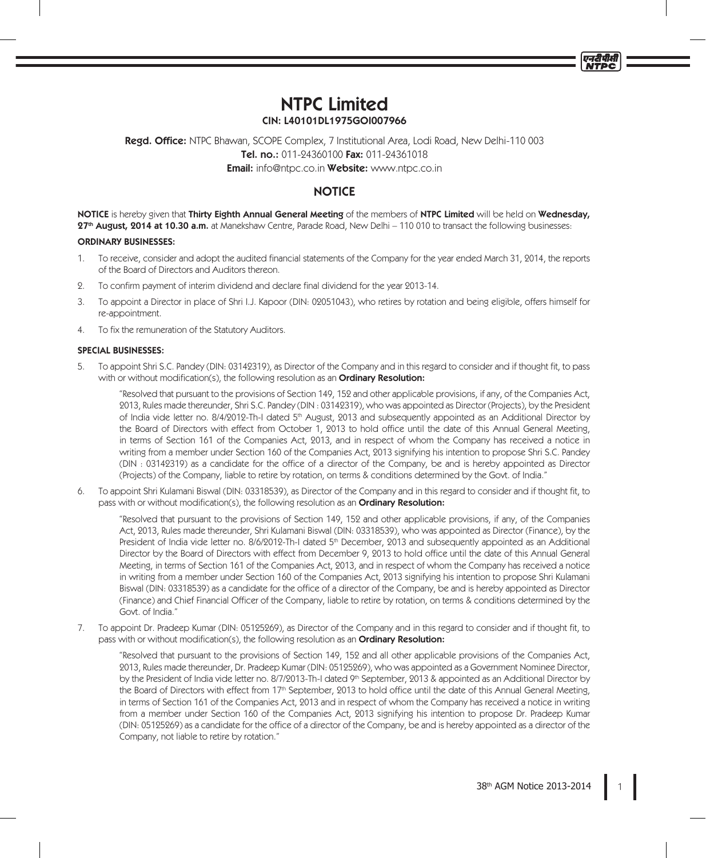*ਰਤ*ੀ ਹੀ ਸੀ **NTPC** 

# NTPC Limited CIN: L40101DL1975GOI007966

Regd. Office: NTPC Bhawan, SCOPE Complex, 7 Institutional Area, Lodi Road, New Delhi-110 003 Tel. no.: 011-24360100 Fax: 011-24361018 Email: info@ntpc.co.in Website: www.ntpc.co.in

# **NOTICE**

NOTICE is hereby given that Thirty Eighth Annual General Meeting of the members of NTPC Limited will be held on Wednesday, 27<sup>th</sup> August, 2014 at 10.30 a.m. at Manekshaw Centre, Parade Road, New Delhi – 110 010 to transact the following businesses:

# ORDINARY BUSINESSES:

- 1. To receive, consider and adopt the audited financial statements of the Company for the year ended March 31, 2014, the reports of the Board of Directors and Auditors thereon.
- 2. To confirm payment of interim dividend and declare final dividend for the year 2013-14.
- 3. To appoint a Director in place of Shri I.J. Kapoor (DIN: 02051043), who retires by rotation and being eligible, offers himself for re-appointment.
- 4. To fix the remuneration of the Statutory Auditors.

# SPECIAL BUSINESSES:

5. To appoint Shri S.C. Pandey (DIN: 03142319), as Director of the Company and in this regard to consider and if thought fit, to pass with or without modification(s), the following resolution as an **Ordinary Resolution:** 

"Resolved that pursuant to the provisions of Section 149, 152 and other applicable provisions, if any, of the Companies Act, 2013, Rules made thereunder, Shri S.C. Pandey (DIN : 03142319), who was appointed as Director (Projects), by the President of India vide letter no. 8/4/2012-Th-I dated 5<sup>th</sup> August, 2013 and subsequently appointed as an Additional Director by the Board of Directors with effect from October 1, 2013 to hold office until the date of this Annual General Meeting, in terms of Section 161 of the Companies Act, 2013, and in respect of whom the Company has received a notice in writing from a member under Section 160 of the Companies Act, 2013 signifying his intention to propose Shri S.C. Pandey (DIN : 03142319) as a candidate for the office of a director of the Company, be and is hereby appointed as Director (Projects) of the Company, liable to retire by rotation, on terms & conditions determined by the Govt. of India."

6. To appoint Shri Kulamani Biswal (DIN: 03318539), as Director of the Company and in this regard to consider and if thought fit, to pass with or without modification(s), the following resolution as an **Ordinary Resolution:** 

"Resolved that pursuant to the provisions of Section 149, 152 and other applicable provisions, if any, of the Companies Act, 2013, Rules made thereunder, Shri Kulamani Biswal (DIN: 03318539), who was appointed as Director (Finance), by the President of India vide letter no. 8/6/2012-Th-I dated 5<sup>th</sup> December, 2013 and subsequently appointed as an Additional Director by the Board of Directors with effect from December 9, 2013 to hold office until the date of this Annual General Meeting, in terms of Section 161 of the Companies Act, 2013, and in respect of whom the Company has received a notice in writing from a member under Section 160 of the Companies Act, 2013 signifying his intention to propose Shri Kulamani Biswal (DIN: 03318539) as a candidate for the office of a director of the Company, be and is hereby appointed as Director (Finance) and Chief Financial Officer of the Company, liable to retire by rotation, on terms & conditions determined by the Govt. of India."

7. To appoint Dr. Pradeep Kumar (DIN: 05125269), as Director of the Company and in this regard to consider and if thought fit, to pass with or without modification(s), the following resolution as an **Ordinary Resolution:** 

"Resolved that pursuant to the provisions of Section 149, 152 and all other applicable provisions of the Companies Act, 2013, Rules made thereunder, Dr. Pradeep Kumar (DIN: 05125269), who was appointed as a Government Nominee Director, by the President of India vide letter no. 8/7/2013-Th-I dated 9th September, 2013 & appointed as an Additional Director by the Board of Directors with effect from 17<sup>th</sup> September, 2013 to hold office until the date of this Annual General Meeting, in terms of Section 161 of the Companies Act, 2013 and in respect of whom the Company has received a notice in writing from a member under Section 160 of the Companies Act, 2013 signifying his intention to propose Dr. Pradeep Kumar (DIN: 05125269) as a candidate for the office of a director of the Company, be and is hereby appointed as a director of the Company, not liable to retire by rotation."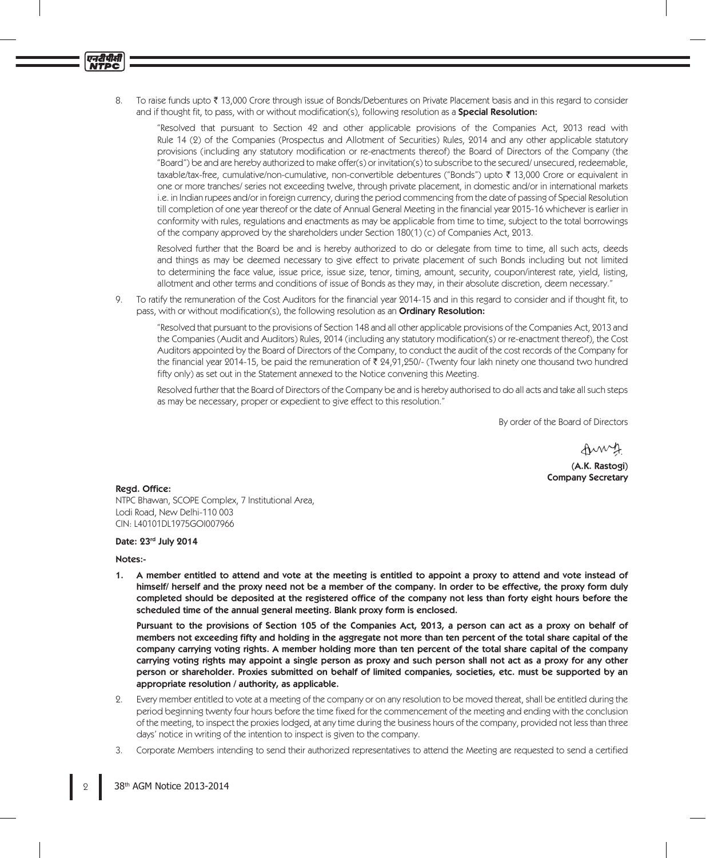8. To raise funds upto ₹ 13,000 Crore through issue of Bonds/Debentures on Private Placement basis and in this regard to consider and if thought fit, to pass, with or without modification(s), following resolution as a **Special Resolution:** 

"Resolved that pursuant to Section 42 and other applicable provisions of the Companies Act, 2013 read with Rule 14 (2) of the Companies (Prospectus and Allotment of Securities) Rules, 2014 and any other applicable statutory provisions (including any statutory modification or re-enactments thereof) the Board of Directors of the Company (the "Board") be and are hereby authorized to make offer(s) or invitation(s) to subscribe to the secured/ unsecured, redeemable, taxable/tax-free, cumulative/non-cumulative, non-convertible debentures ("Bonds") upto ` 13,000 Crore or equivalent in one or more tranches/ series not exceeding twelve, through private placement, in domestic and/or in international markets i.e. in Indian rupees and/or in foreign currency, during the period commencing from the date of passing of Special Resolution till completion of one year thereof or the date of Annual General Meeting in the financial year 2015-16 whichever is earlier in conformity with rules, regulations and enactments as may be applicable from time to time, subject to the total borrowings of the company approved by the shareholders under Section 180(1) (c) of Companies Act, 2013.

Resolved further that the Board be and is hereby authorized to do or delegate from time to time, all such acts, deeds and things as may be deemed necessary to give effect to private placement of such Bonds including but not limited to determining the face value, issue price, issue size, tenor, timing, amount, security, coupon/interest rate, yield, listing, allotment and other terms and conditions of issue of Bonds as they may, in their absolute discretion, deem necessary."

9. To ratify the remuneration of the Cost Auditors for the financial year 2014-15 and in this regard to consider and if thought fit, to pass, with or without modification(s), the following resolution as an **Ordinary Resolution:** 

"Resolved that pursuant to the provisions of Section 148 and all other applicable provisions of the Companies Act, 2013 and the Companies (Audit and Auditors) Rules, 2014 (including any statutory modification(s) or re-enactment thereof), the Cost Auditors appointed by the Board of Directors of the Company, to conduct the audit of the cost records of the Company for the financial year 2014-15, be paid the remuneration of  $\bar{\tau}$  24,91,250/- (Twenty four lakh ninety one thousand two hundred fifty only) as set out in the Statement annexed to the Notice convening this Meeting.

Resolved further that the Board of Directors of the Company be and is hereby authorised to do all acts and take all such steps as may be necessary, proper or expedient to give effect to this resolution."

By order of the Board of Directors

Amy

(A.K. Rastogi) Company Secretary

#### Regd. Office:

ण्नदीपीसी<br>NTPC

NTPC Bhawan, SCOPE Complex, 7 Institutional Area, Lodi Road, New Delhi-110 003 CIN: L40101DL1975GOI007966

# Date: 23rd July 2014

#### Notes:-

1. A member entitled to attend and vote at the meeting is entitled to appoint a proxy to attend and vote instead of himself/ herself and the proxy need not be a member of the company. In order to be effective, the proxy form duly completed should be deposited at the registered office of the company not less than forty eight hours before the scheduled time of the annual general meeting. Blank proxy form is enclosed.

Pursuant to the provisions of Section 105 of the Companies Act, 2013, a person can act as a proxy on behalf of members not exceeding fifty and holding in the aggregate not more than ten percent of the total share capital of the company carrying voting rights. A member holding more than ten percent of the total share capital of the company carrying voting rights may appoint a single person as proxy and such person shall not act as a proxy for any other person or shareholder. Proxies submitted on behalf of limited companies, societies, etc. must be supported by an appropriate resolution / authority, as applicable.

- 2. Every member entitled to vote at a meeting of the company or on any resolution to be moved thereat, shall be entitled during the period beginning twenty four hours before the time fixed for the commencement of the meeting and ending with the conclusion of the meeting, to inspect the proxies lodged, at any time during the business hours of the company, provided not less than three days' notice in writing of the intention to inspect is given to the company.
- 3. Corporate Members intending to send their authorized representatives to attend the Meeting are requested to send a certified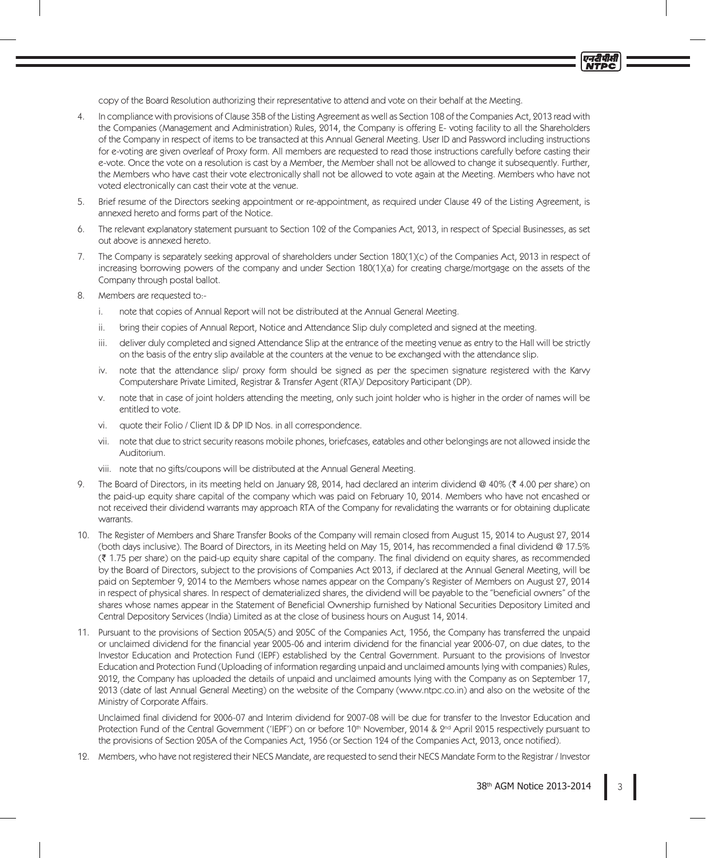copy of the Board Resolution authorizing their representative to attend and vote on their behalf at the Meeting.

- 4. In compliance with provisions of Clause 35B of the Listing Agreement as well as Section 108 of the Companies Act, 2013 read with the Companies (Management and Administration) Rules, 2014, the Company is offering E- voting facility to all the Shareholders of the Company in respect of items to be transacted at this Annual General Meeting. User ID and Password including instructions for e-voting are given overleaf of Proxy form. All members are requested to read those instructions carefully before casting their e-vote. Once the vote on a resolution is cast by a Member, the Member shall not be allowed to change it subsequently. Further, the Members who have cast their vote electronically shall not be allowed to vote again at the Meeting. Members who have not voted electronically can cast their vote at the venue.
- 5. Brief resume of the Directors seeking appointment or re-appointment, as required under Clause 49 of the Listing Agreement, is annexed hereto and forms part of the Notice.
- 6. The relevant explanatory statement pursuant to Section 102 of the Companies Act, 2013, in respect of Special Businesses, as set out above is annexed hereto.
- 7. The Company is separately seeking approval of shareholders under Section 180(1)(c) of the Companies Act, 2013 in respect of increasing borrowing powers of the company and under Section 180(1)(a) for creating charge/mortgage on the assets of the Company through postal ballot.
- 8. Members are requested to:
	- i. note that copies of Annual Report will not be distributed at the Annual General Meeting.
	- ii. bring their copies of Annual Report, Notice and Attendance Slip duly completed and signed at the meeting.
	- iii. deliver duly completed and signed Attendance Slip at the entrance of the meeting venue as entry to the Hall will be strictly on the basis of the entry slip available at the counters at the venue to be exchanged with the attendance slip.
	- iv. note that the attendance slip/ proxy form should be signed as per the specimen signature registered with the Karvy Computershare Private Limited, Registrar & Transfer Agent (RTA)/ Depository Participant (DP).
	- v. note that in case of joint holders attending the meeting, only such joint holder who is higher in the order of names will be entitled to vote.
	- vi. quote their Folio / Client ID & DP ID Nos. in all correspondence.
	- vii. note that due to strict security reasons mobile phones, briefcases, eatables and other belongings are not allowed inside the Auditorium.
	- viii. note that no gifts/coupons will be distributed at the Annual General Meeting.
- 9. The Board of Directors, in its meeting held on January 28, 2014, had declared an interim dividend @ 40% (₹ 4.00 per share) on the paid-up equity share capital of the company which was paid on February 10, 2014. Members who have not encashed or not received their dividend warrants may approach RTA of the Company for revalidating the warrants or for obtaining duplicate warrants.
- 10. The Register of Members and Share Transfer Books of the Company will remain closed from August 15, 2014 to August 27, 2014 (both days inclusive). The Board of Directors, in its Meeting held on May 15, 2014, has recommended a final dividend @ 17.5% (` 1.75 per share) on the paid-up equity share capital of the company. The final dividend on equity shares, as recommended by the Board of Directors, subject to the provisions of Companies Act 2013, if declared at the Annual General Meeting, will be paid on September 9, 2014 to the Members whose names appear on the Company's Register of Members on August 27, 2014 in respect of physical shares. In respect of dematerialized shares, the dividend will be payable to the "beneficial owners" of the shares whose names appear in the Statement of Beneficial Ownership furnished by National Securities Depository Limited and Central Depository Services (India) Limited as at the close of business hours on August 14, 2014.
- 11. Pursuant to the provisions of Section 205A(5) and 205C of the Companies Act, 1956, the Company has transferred the unpaid or unclaimed dividend for the financial year 2005-06 and interim dividend for the financial year 2006-07, on due dates, to the Investor Education and Protection Fund (IEPF) established by the Central Government. Pursuant to the provisions of Investor Education and Protection Fund (Uploading of information regarding unpaid and unclaimed amounts lying with companies) Rules, 2012, the Company has uploaded the details of unpaid and unclaimed amounts lying with the Company as on September 17, 2013 (date of last Annual General Meeting) on the website of the Company (www.ntpc.co.in) and also on the website of the Ministry of Corporate Affairs.

Unclaimed final dividend for 2006-07 and Interim dividend for 2007-08 will be due for transfer to the Investor Education and Protection Fund of the Central Government ('IEPF') on or before 10<sup>th</sup> November, 2014 & 2<sup>nd</sup> April 2015 respectively pursuant to the provisions of Section 205A of the Companies Act, 1956 (or Section 124 of the Companies Act, 2013, once notified).

12. Members, who have not registered their NECS Mandate, are requested to send their NECS Mandate Form to the Registrar / Investor

एनटीपीसी **NTPC**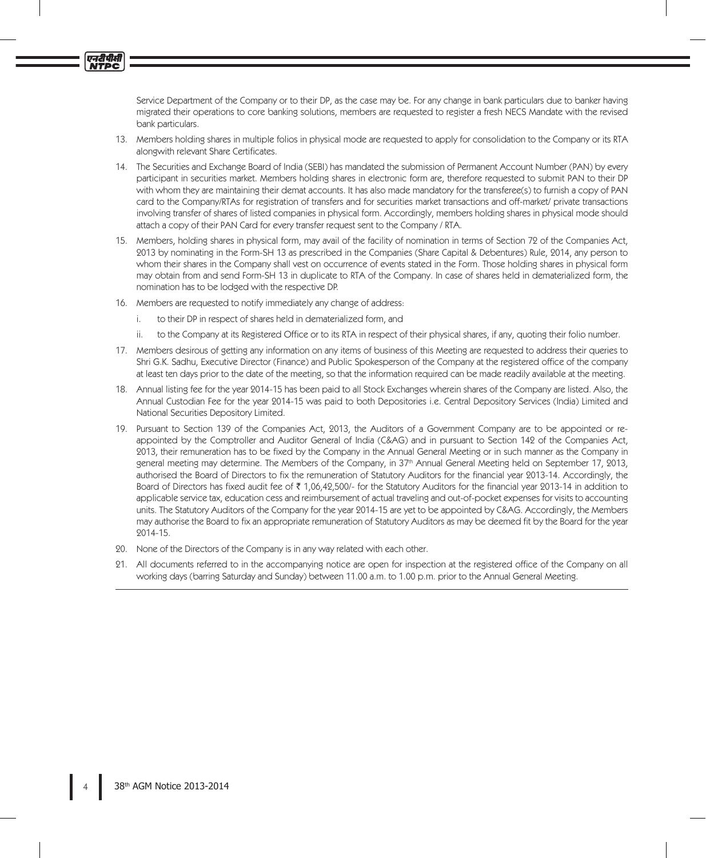Service Department of the Company or to their DP, as the case may be. For any change in bank particulars due to banker having migrated their operations to core banking solutions, members are requested to register a fresh NECS Mandate with the revised bank particulars.

- 13. Members holding shares in multiple folios in physical mode are requested to apply for consolidation to the Company or its RTA alongwith relevant Share Certificates.
- 14. The Securities and Exchange Board of India (SEBI) has mandated the submission of Permanent Account Number (PAN) by every participant in securities market. Members holding shares in electronic form are, therefore requested to submit PAN to their DP with whom they are maintaining their demat accounts. It has also made mandatory for the transferee(s) to furnish a copy of PAN card to the Company/RTAs for registration of transfers and for securities market transactions and off-market/ private transactions involving transfer of shares of listed companies in physical form. Accordingly, members holding shares in physical mode should attach a copy of their PAN Card for every transfer request sent to the Company / RTA.
- 15. Members, holding shares in physical form, may avail of the facility of nomination in terms of Section 72 of the Companies Act, 2013 by nominating in the Form-SH 13 as prescribed in the Companies (Share Capital & Debentures) Rule, 2014, any person to whom their shares in the Company shall vest on occurrence of events stated in the Form. Those holding shares in physical form may obtain from and send Form-SH 13 in duplicate to RTA of the Company. In case of shares held in dematerialized form, the nomination has to be lodged with the respective DP.
- 16. Members are requested to notify immediately any change of address:
	- i. to their DP in respect of shares held in dematerialized form, and
	- ii. to the Company at its Registered Office or to its RTA in respect of their physical shares, if any, quoting their folio number.
- 17. Members desirous of getting any information on any items of business of this Meeting are requested to address their queries to Shri G.K. Sadhu, Executive Director (Finance) and Public Spokesperson of the Company at the registered office of the company at least ten days prior to the date of the meeting, so that the information required can be made readily available at the meeting.
- 18. Annual listing fee for the year 2014-15 has been paid to all Stock Exchanges wherein shares of the Company are listed. Also, the Annual Custodian Fee for the year 2014-15 was paid to both Depositories i.e. Central Depository Services (India) Limited and National Securities Depository Limited.
- 19. Pursuant to Section 139 of the Companies Act, 2013, the Auditors of a Government Company are to be appointed or reappointed by the Comptroller and Auditor General of India (C&AG) and in pursuant to Section 142 of the Companies Act, 2013, their remuneration has to be fixed by the Company in the Annual General Meeting or in such manner as the Company in general meeting may determine. The Members of the Company, in 37<sup>th</sup> Annual General Meeting held on September 17, 2013, authorised the Board of Directors to fix the remuneration of Statutory Auditors for the financial year 2013-14. Accordingly, the Board of Directors has fixed audit fee of  $\bar{\tau}$  1,06,42,500/- for the Statutory Auditors for the financial year 2013-14 in addition to applicable service tax, education cess and reimbursement of actual traveling and out-of-pocket expenses for visits to accounting units. The Statutory Auditors of the Company for the year 2014-15 are yet to be appointed by C&AG. Accordingly, the Members may authorise the Board to fix an appropriate remuneration of Statutory Auditors as may be deemed fit by the Board for the year 2014-15.
- 20. None of the Directors of the Company is in any way related with each other.
- 21. All documents referred to in the accompanying notice are open for inspection at the registered office of the Company on all working days (barring Saturday and Sunday) between 11.00 a.m. to 1.00 p.m. prior to the Annual General Meeting.

एनदीपीसी<br>NTPC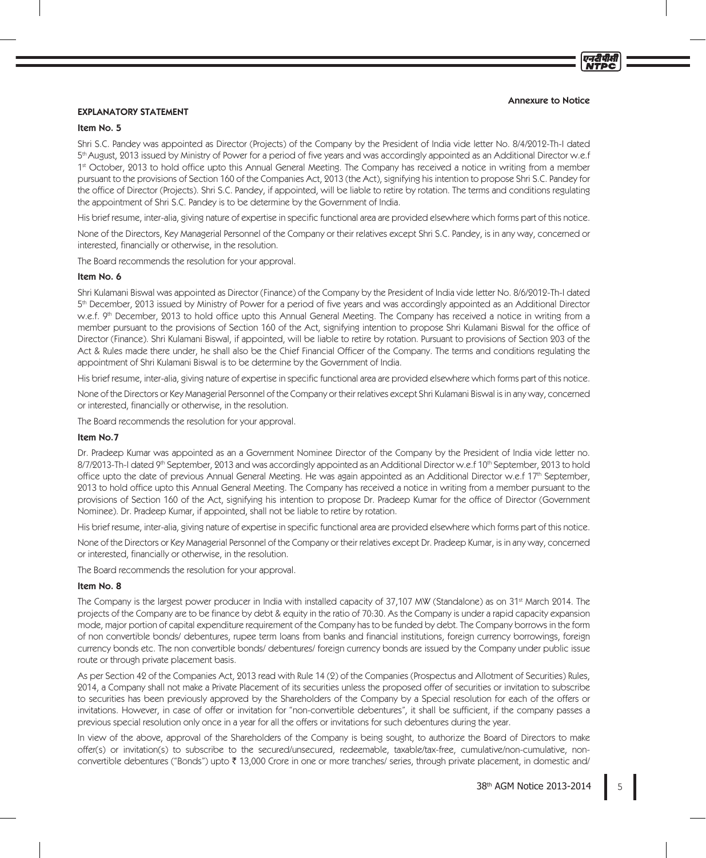एनटीपीसी **NTPC** 

# EXPLANATORY STATEMENT

### Item No. 5

Shri S.C. Pandey was appointed as Director (Projects) of the Company by the President of India vide letter No. 8/4/2012-Th-I dated 5<sup>th</sup> August, 2013 issued by Ministry of Power for a period of five years and was accordingly appointed as an Additional Director w.e.f 1<sup>st</sup> October, 2013 to hold office upto this Annual General Meeting. The Company has received a notice in writing from a member pursuant to the provisions of Section 160 of the Companies Act, 2013 (the Act), signifying his intention to propose Shri S.C. Pandey for the office of Director (Projects). Shri S.C. Pandey, if appointed, will be liable to retire by rotation. The terms and conditions regulating the appointment of Shri S.C. Pandey is to be determine by the Government of India.

His brief resume, inter-alia, giving nature of expertise in specific functional area are provided elsewhere which forms part of this notice.

None of the Directors, Key Managerial Personnel of the Company or their relatives except Shri S.C. Pandey, is in any way, concerned or interested, financially or otherwise, in the resolution.

The Board recommends the resolution for your approval.

#### Item No. 6

Shri Kulamani Biswal was appointed as Director (Finance) of the Company by the President of India vide letter No. 8/6/2012-Th-I dated 5th December, 2013 issued by Ministry of Power for a period of five years and was accordingly appointed as an Additional Director w.e.f. 9th December, 2013 to hold office upto this Annual General Meeting. The Company has received a notice in writing from a member pursuant to the provisions of Section 160 of the Act, signifying intention to propose Shri Kulamani Biswal for the office of Director (Finance). Shri Kulamani Biswal, if appointed, will be liable to retire by rotation. Pursuant to provisions of Section 203 of the Act & Rules made there under, he shall also be the Chief Financial Officer of the Company. The terms and conditions regulating the appointment of Shri Kulamani Biswal is to be determine by the Government of India.

His brief resume, inter-alia, giving nature of expertise in specific functional area are provided elsewhere which forms part of this notice.

None of the Directors or Key Managerial Personnel of the Company or their relatives except Shri Kulamani Biswal is in any way, concerned or interested, financially or otherwise, in the resolution.

The Board recommends the resolution for your approval.

## Item No.7

Dr. Pradeep Kumar was appointed as an a Government Nominee Director of the Company by the President of India vide letter no. 8/7/2013-Th-I dated 9<sup>th</sup> September, 2013 and was accordingly appointed as an Additional Director w.e.f 10<sup>th</sup> September, 2013 to hold office upto the date of previous Annual General Meeting. He was again appointed as an Additional Director w.e.f 17th September, 2013 to hold office upto this Annual General Meeting. The Company has received a notice in writing from a member pursuant to the provisions of Section 160 of the Act, signifying his intention to propose Dr. Pradeep Kumar for the office of Director (Government Nominee). Dr. Pradeep Kumar, if appointed, shall not be liable to retire by rotation.

His brief resume, inter-alia, giving nature of expertise in specific functional area are provided elsewhere which forms part of this notice.

None of the Directors or Key Managerial Personnel of the Company or their relatives except Dr. Pradeep Kumar, is in any way, concerned or interested, financially or otherwise, in the resolution.

The Board recommends the resolution for your approval.

## Item No. 8

The Company is the largest power producer in India with installed capacity of 37,107 MW (Standalone) as on 31<sup>st</sup> March 2014. The projects of the Company are to be finance by debt & equity in the ratio of 70:30. As the Company is under a rapid capacity expansion mode, major portion of capital expenditure requirement of the Company has to be funded by debt. The Company borrows in the form of non convertible bonds/ debentures, rupee term loans from banks and financial institutions, foreign currency borrowings, foreign currency bonds etc. The non convertible bonds/ debentures/ foreign currency bonds are issued by the Company under public issue route or through private placement basis.

As per Section 42 of the Companies Act, 2013 read with Rule 14 (2) of the Companies (Prospectus and Allotment of Securities) Rules, 2014, a Company shall not make a Private Placement of its securities unless the proposed offer of securities or invitation to subscribe to securities has been previously approved by the Shareholders of the Company by a Special resolution for each of the offers or invitations. However, in case of offer or invitation for "non-convertible debentures", it shall be sufficient, if the company passes a previous special resolution only once in a year for all the offers or invitations for such debentures during the year.

In view of the above, approval of the Shareholders of the Company is being sought, to authorize the Board of Directors to make offer(s) or invitation(s) to subscribe to the secured/unsecured, redeemable, taxable/tax-free, cumulative/non-cumulative, nonconvertible debentures ("Bonds") upto ₹13,000 Crore in one or more tranches/ series, through private placement, in domestic and/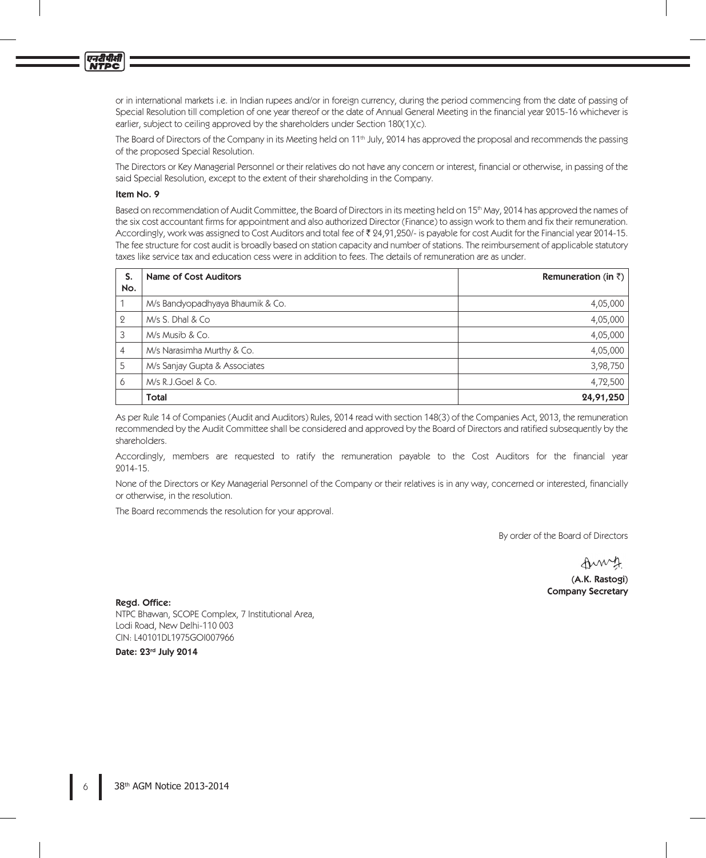एनदीपीसी<br>NTPC

or in international markets i.e. in Indian rupees and/or in foreign currency, during the period commencing from the date of passing of Special Resolution till completion of one year thereof or the date of Annual General Meeting in the financial year 2015-16 whichever is earlier, subject to ceiling approved by the shareholders under Section 180(1)(c).

The Board of Directors of the Company in its Meeting held on 11<sup>th</sup> July, 2014 has approved the proposal and recommends the passing of the proposed Special Resolution.

The Directors or Key Managerial Personnel or their relatives do not have any concern or interest, financial or otherwise, in passing of the said Special Resolution, except to the extent of their shareholding in the Company.

# Item No. 9

Based on recommendation of Audit Committee, the Board of Directors in its meeting held on 15<sup>th</sup> May, 2014 has approved the names of the six cost accountant firms for appointment and also authorized Director (Finance) to assign work to them and fix their remuneration. Accordingly, work was assigned to Cost Auditors and total fee of ₹ 24,91,250/- is payable for cost Audit for the Financial year 2014-15. The fee structure for cost audit is broadly based on station capacity and number of stations. The reimbursement of applicable statutory taxes like service tax and education cess were in addition to fees. The details of remuneration are as under.

| S.<br>No.      | <b>Name of Cost Auditors</b>     | Remuneration (in $\bar{z}$ ) |
|----------------|----------------------------------|------------------------------|
|                | M/s Bandyopadhyaya Bhaumik & Co. | 4,05,000                     |
| $\mathbf{2}$   | M/s S. Dhal & Co                 | 4,05,000                     |
| 3              | M/s Musib & Co.                  | 4,05,000                     |
| $\overline{4}$ | M/s Narasimha Murthy & Co.       | 4,05,000                     |
| 5              | M/s Sanjay Gupta & Associates    | 3,98,750                     |
| 6              | M/s R.J.Goel & Co.               | 4,72,500                     |
|                | Total                            | 24,91,250                    |

As per Rule 14 of Companies (Audit and Auditors) Rules, 2014 read with section 148(3) of the Companies Act, 2013, the remuneration recommended by the Audit Committee shall be considered and approved by the Board of Directors and ratified subsequently by the shareholders.

Accordingly, members are requested to ratify the remuneration payable to the Cost Auditors for the financial year 2014-15.

None of the Directors or Key Managerial Personnel of the Company or their relatives is in any way, concerned or interested, financially or otherwise, in the resolution.

The Board recommends the resolution for your approval.

By order of the Board of Directors

Amy (A.K. Rastogi) Company Secretary

Regd. Office:

NTPC Bhawan, SCOPE Complex, 7 Institutional Area, Lodi Road, New Delhi-110 003 CIN: L40101DL1975GOI007966

Date: 23rd July 2014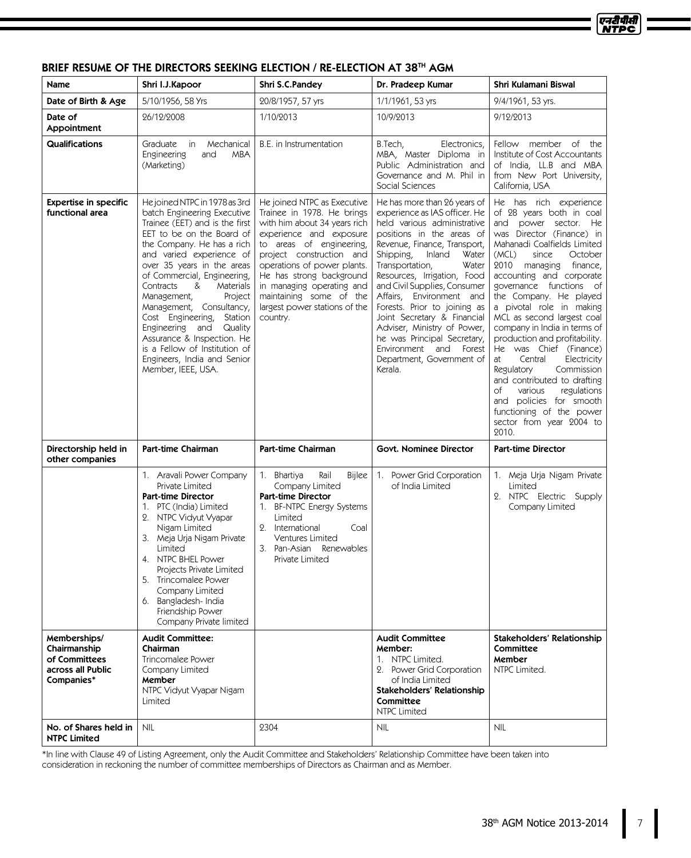#### एनटीपीसी **NTPC**

| <b>Name</b>                                                                      | Shri I.J.Kapoor                                                                                                                                                                                                                                                                                                                                                                                                                                                                                                     | Shri S.C.Pandey                                                                                                                                                                                                                                                                                                                              | Dr. Pradeep Kumar                                                                                                                                                                                                                                                                                                                                                                                                                                                                                                  | Shri Kulamani Biswal                                                                                                                                                                                                                                                                                                                                                                                                                                                                                                                                                                                                                                       |
|----------------------------------------------------------------------------------|---------------------------------------------------------------------------------------------------------------------------------------------------------------------------------------------------------------------------------------------------------------------------------------------------------------------------------------------------------------------------------------------------------------------------------------------------------------------------------------------------------------------|----------------------------------------------------------------------------------------------------------------------------------------------------------------------------------------------------------------------------------------------------------------------------------------------------------------------------------------------|--------------------------------------------------------------------------------------------------------------------------------------------------------------------------------------------------------------------------------------------------------------------------------------------------------------------------------------------------------------------------------------------------------------------------------------------------------------------------------------------------------------------|------------------------------------------------------------------------------------------------------------------------------------------------------------------------------------------------------------------------------------------------------------------------------------------------------------------------------------------------------------------------------------------------------------------------------------------------------------------------------------------------------------------------------------------------------------------------------------------------------------------------------------------------------------|
| Date of Birth & Age                                                              | 5/10/1956, 58 Yrs                                                                                                                                                                                                                                                                                                                                                                                                                                                                                                   | 20/8/1957, 57 yrs                                                                                                                                                                                                                                                                                                                            | 1/1/1961, 53 yrs                                                                                                                                                                                                                                                                                                                                                                                                                                                                                                   | 9/4/1961, 53 yrs.                                                                                                                                                                                                                                                                                                                                                                                                                                                                                                                                                                                                                                          |
| Date of<br>Appointment                                                           | 26/12/2008                                                                                                                                                                                                                                                                                                                                                                                                                                                                                                          | 1/10/2013                                                                                                                                                                                                                                                                                                                                    | 10/9/2013                                                                                                                                                                                                                                                                                                                                                                                                                                                                                                          | 9/12/2013                                                                                                                                                                                                                                                                                                                                                                                                                                                                                                                                                                                                                                                  |
| Qualifications                                                                   | Mechanical<br>Graduate<br>in<br>Engineering<br>and<br><b>MBA</b><br>(Marketing)                                                                                                                                                                                                                                                                                                                                                                                                                                     | B.E. in Instrumentation                                                                                                                                                                                                                                                                                                                      | B.Tech,<br>Electronics,<br>MBA, Master Diploma in<br>Public Administration and<br>Governance and M. Phil in<br>Social Sciences                                                                                                                                                                                                                                                                                                                                                                                     | Fellow member of the<br>Institute of Cost Accountants<br>of India, LL.B and MBA<br>from New Port University,<br>California, USA                                                                                                                                                                                                                                                                                                                                                                                                                                                                                                                            |
| <b>Expertise in specific</b><br>functional area                                  | He joined NTPC in 1978 as 3rd<br>batch Engineering Executive<br>Trainee (EET) and is the first<br>EET to be on the Board of<br>the Company. He has a rich<br>and varied experience of<br>over 35 years in the areas<br>of Commercial, Engineering,<br>Contracts<br>&<br>Materials<br>Management,<br>Project<br>Management, Consultancy,<br>Cost Engineering, Station<br>Engineering and Quality<br>Assurance & Inspection. He<br>is a Fellow of Institution of<br>Engineers, India and Senior<br>Member, IEEE, USA. | He joined NTPC as Executive<br>Trainee in 1978. He brings<br>with him about 34 years rich<br>experience and exposure<br>to areas of engineering,<br>project construction and<br>operations of power plants.<br>He has strong background<br>in managing operating and<br>maintaining some of the<br>largest power stations of the<br>country. | He has more than 26 years of<br>experience as IAS officer. He<br>held various administrative<br>positions in the areas of<br>Revenue, Finance, Transport,<br>Shipping,<br>Inland<br>Water<br>Transportation,<br>Water<br>Resources, Irrigation, Food<br>and Civil Supplies, Consumer<br>Affairs, Environment and<br>Forests. Prior to joining as<br>Joint Secretary & Financial<br>Adviser, Ministry of Power,<br>he was Principal Secretary,<br>Environment and<br>Forest<br>Department, Government of<br>Kerala. | He has rich experience<br>of 28 years both in coal<br>and power sector. He<br>was Director (Finance) in<br>Mahanadi Coalfields Limited<br>(MCL)<br>since<br>October<br>2010 managing finance,<br>accounting and corporate<br>governance functions of<br>the Company. He played<br>a pivotal role in making<br>MCL as second largest coal<br>company in India in terms of<br>production and profitability.<br>He was Chief (Finance)<br>Central<br>Electricity<br>at<br>Regulatory<br>Commission<br>and contributed to drafting<br>of<br>various<br>regulations<br>and policies for smooth<br>functioning of the power<br>sector from year 2004 to<br>2010. |
| Directorship held in<br>other companies                                          | Part-time Chairman                                                                                                                                                                                                                                                                                                                                                                                                                                                                                                  | <b>Part-time Chairman</b>                                                                                                                                                                                                                                                                                                                    | Govt. Nominee Director                                                                                                                                                                                                                                                                                                                                                                                                                                                                                             | <b>Part-time Director</b>                                                                                                                                                                                                                                                                                                                                                                                                                                                                                                                                                                                                                                  |
|                                                                                  | 1. Aravali Power Company<br>Private Limited<br><b>Part-time Director</b><br>1. PTC (India) Limited<br>2. NTPC Vidyut Vyapar<br>Nigam Limited<br>3. Meja Urja Nigam Private<br>Limited<br>4. NTPC BHEL Power<br>Projects Private Limited<br>5. Trincomalee Power<br>Company Limited<br>6. Bangladesh-India<br>Friendship Power<br>Company Private limited                                                                                                                                                            | Rail<br>1. Bhartiya<br>Bijlee<br>Company Limited<br><b>Part-time Director</b><br>1. BF-NTPC Energy Systems<br>Limited<br>2. International<br>Coal<br>Ventures Limited<br>3. Pan-Asian Renewables<br>Private Limited                                                                                                                          | 1. Power Grid Corporation<br>of India Limited                                                                                                                                                                                                                                                                                                                                                                                                                                                                      | 1. Meja Urja Nigam Private<br>Limited<br>2. NTPC Electric Supply<br>Company Limited                                                                                                                                                                                                                                                                                                                                                                                                                                                                                                                                                                        |
| Memberships/<br>Chairmanship<br>of Committees<br>across all Public<br>Companies* | <b>Audit Committee:</b><br>Chairman<br><b>Trincomalee Power</b><br>Company Limited<br>Member<br>NTPC Vidyut Vyapar Nigam<br>Limited                                                                                                                                                                                                                                                                                                                                                                                 |                                                                                                                                                                                                                                                                                                                                              | <b>Audit Committee</b><br>Member:<br>1. NTPC Limited.<br>2. Power Grid Corporation<br>of India Limited<br><b>Stakeholders' Relationship</b><br>Committee<br><b>NTPC Limited</b>                                                                                                                                                                                                                                                                                                                                    | <b>Stakeholders' Relationship</b><br>Committee<br>Member<br>NTPC Limited.                                                                                                                                                                                                                                                                                                                                                                                                                                                                                                                                                                                  |
| No. of Shares held in<br><b>NTPC Limited</b>                                     | <b>NIL</b>                                                                                                                                                                                                                                                                                                                                                                                                                                                                                                          | 2304                                                                                                                                                                                                                                                                                                                                         | <b>NIL</b>                                                                                                                                                                                                                                                                                                                                                                                                                                                                                                         | <b>NIL</b>                                                                                                                                                                                                                                                                                                                                                                                                                                                                                                                                                                                                                                                 |

# BRIEF RESUME OF THE DIRECTORS SEEKING ELECTION / RE-ELECTION AT 38TH AGM

\*In line with Clause 49 of Listing Agreement, only the Audit Committee and Stakeholders' Relationship Committee have been taken into consideration in reckoning the number of committee memberships of Directors as Chairman and as Member.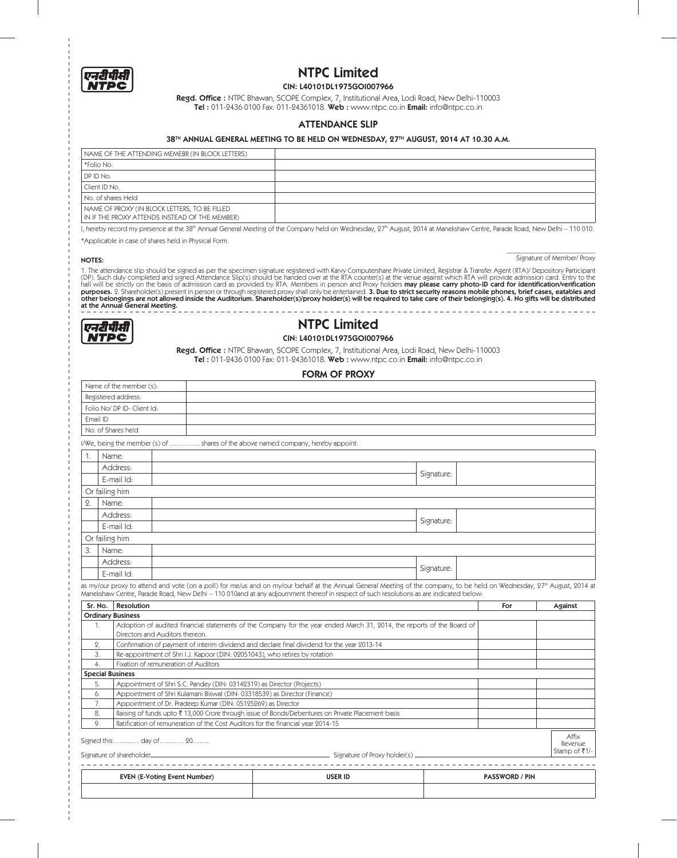

# NTPC Limited

## CIN: L40101DL1975GOI007966

**Regd. Office :** NTPC Bhawan, SCOPE Complex, 7, Institutional Area, Lodi Road, New Delhi-110003 **Tel :** 011-2436 0100 Fax: 011-24361018. **Web :** www.ntpc.co.in **Email:** info@ntpc.co.in

#### ATTENDANCE SLIP

#### 38TH ANNUAL GENERAL MEETING TO BE HELD ON WEDNESDAY, 27TH AUGUST, 2014 AT 10.30 A.M.

| NAME OF THE ATTENDING MEMEBR (IN BLOCK LETTERS)                                                 |  |
|-------------------------------------------------------------------------------------------------|--|
| *Folio No.                                                                                      |  |
| DP ID No.                                                                                       |  |
| Client ID No.                                                                                   |  |
| No. of shares Held                                                                              |  |
| NAME OF PROXY (IN BLOCK LETTERS, TO BE FILLED<br>IN IF THE PROXY ATTENDS INSTEAD OF THE MEMBER) |  |

I, hereby record my presence at the 38<sup>th</sup> Annual General Meeting of the Company held on Wednesday, 27<sup>th</sup> August, 2014 at Manekshaw Centre, Parade Road, New Delhi – 110 010.

\*Applicable in case of shares held in Physical Form.

Signature of Member/ Proxy **NOTES:** Signature of Member/ Proxy

1. The attendance slip should be signed as per the specimen signature registered with Karvy Computershare Private Limited, Registrar & Transfer Agent (RTA)/ Depository Participant<br>(DP). Such duly completed and signed Atten other belongings are not allowed inside the Auditorium. Shareholder(s)/proxy holder(s) will be required to take care of their belonging(s). 4. No gifts will be distributed at the Annual General Meeting.





Regd. Office : NTPC Bhawan, SCOPE Complex, 7, Institutional Area, Lodi Road, New Delhi-110003 Tel : 011-2436 0100 Fax: 011-24361018. Web : www.ntpc.co.in Email: info@ntpc.co.in

#### FORM OF PROXY

|                     | Name of the member (s):     |                                                                                   |            |  |
|---------------------|-----------------------------|-----------------------------------------------------------------------------------|------------|--|
| Registered address: |                             |                                                                                   |            |  |
|                     | Folio No/ DP ID- Client Id: |                                                                                   |            |  |
|                     | Email ID                    |                                                                                   |            |  |
|                     | No. of Shares held          |                                                                                   |            |  |
|                     |                             | I/We, being the member (s) of  shares of the above named company, hereby appoint: |            |  |
|                     | Name:                       |                                                                                   |            |  |
|                     | Address:                    |                                                                                   |            |  |
|                     | E-mail Id:                  |                                                                                   | Signature: |  |
|                     | Or failing him              |                                                                                   |            |  |
| 2.                  | Name:                       |                                                                                   |            |  |
|                     | Address:                    |                                                                                   | Signature: |  |
|                     | E-mail Id:                  |                                                                                   |            |  |
|                     | Or failing him              |                                                                                   |            |  |
| 3.                  | Name:                       |                                                                                   |            |  |
|                     | Address:                    |                                                                                   | Signature: |  |
|                     | E-mail Id:                  |                                                                                   |            |  |
|                     |                             |                                                                                   |            |  |

as my/our proxy to attend and vote (on a poll) for me/us and on my/our behalf at the Annual General Meeting of the company, to be held on Wednesday, 27th August, 2014 at Manekshaw Centre, Parade Road, New Delhi – 110 010and at any adjournment thereof in respect of such resolutions as are indicated below:

| Sr. No.                  | <b>Resolution</b>                                                                                                      | For | Against          |
|--------------------------|------------------------------------------------------------------------------------------------------------------------|-----|------------------|
| <b>Ordinary Business</b> |                                                                                                                        |     |                  |
|                          | Adoption of audited financial statements of the Company for the year ended March 31, 2014, the reports of the Board of |     |                  |
|                          | Directors and Auditors thereon.                                                                                        |     |                  |
| 2.                       | Confirmation of payment of interim dividend and declare final dividend for the year 2013-14                            |     |                  |
| 3.                       | Re-appointment of Shri I.J. Kapoor (DIN: 02051043), who retires by rotation                                            |     |                  |
| 4.                       | Fixation of remuneration of Auditors                                                                                   |     |                  |
| <b>Special Business</b>  |                                                                                                                        |     |                  |
| 5.                       | Appointment of Shri S.C. Pandey (DIN: 03142319) as Director (Projects)                                                 |     |                  |
| 6.                       | Appointment of Shri Kulamani Biswal (DIN: 03318539) as Director (Finance)                                              |     |                  |
| 7.                       | Appointment of Dr. Pradeep Kumar (DIN: 05125269) as Director                                                           |     |                  |
| 8.                       | Raising of funds upto ₹13,000 Crore through issue of Bonds/Debentures on Private Placement basis                       |     |                  |
| 9.                       | Ratification of remuneration of the Cost Auditors for the financial year 2014-15                                       |     |                  |
|                          | Signed this day of 20                                                                                                  |     | Affix<br>Revenue |
|                          | Stamp of ₹1/-<br>Signature of Proxy holder(s) ______<br>Signature of shareholder_                                      |     |                  |

| <b>CVD</b><br><b>Number</b><br>$-510m$<br><b>EVEI</b> | <b>USER ID</b><br>. | SWORD / PIN |
|-------------------------------------------------------|---------------------|-------------|
|                                                       |                     |             |